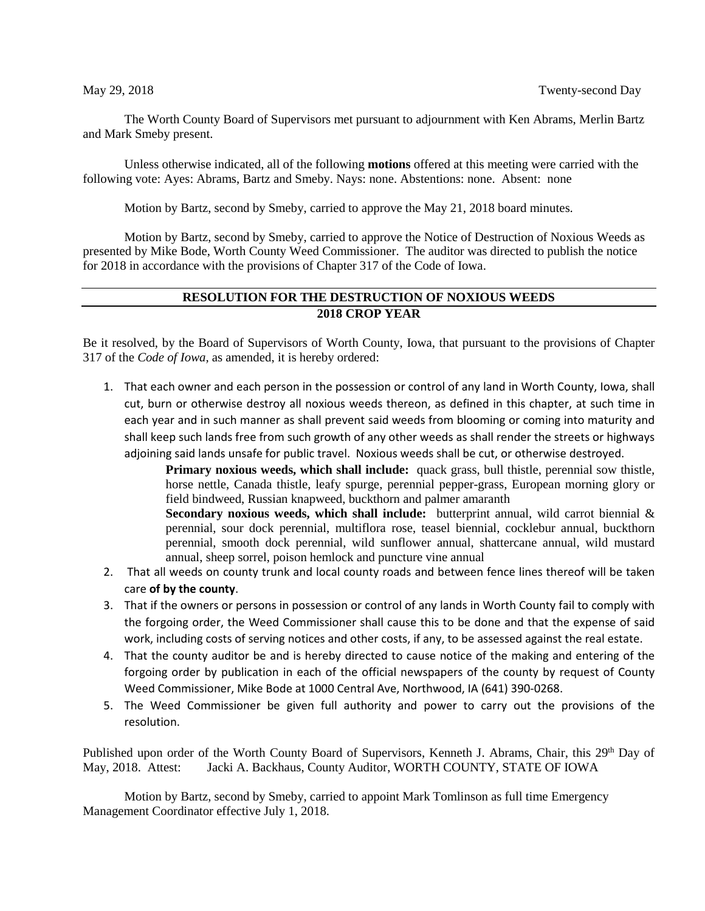The Worth County Board of Supervisors met pursuant to adjournment with Ken Abrams, Merlin Bartz and Mark Smeby present.

Unless otherwise indicated, all of the following **motions** offered at this meeting were carried with the following vote: Ayes: Abrams, Bartz and Smeby. Nays: none. Abstentions: none. Absent: none

Motion by Bartz, second by Smeby, carried to approve the May 21, 2018 board minutes.

Motion by Bartz, second by Smeby, carried to approve the Notice of Destruction of Noxious Weeds as presented by Mike Bode, Worth County Weed Commissioner. The auditor was directed to publish the notice for 2018 in accordance with the provisions of Chapter 317 of the Code of Iowa.

## **RESOLUTION FOR THE DESTRUCTION OF NOXIOUS WEEDS 2018 CROP YEAR**

Be it resolved, by the Board of Supervisors of Worth County, Iowa, that pursuant to the provisions of Chapter 317 of the *Code of Iowa,* as amended, it is hereby ordered:

1. That each owner and each person in the possession or control of any land in Worth County, Iowa, shall cut, burn or otherwise destroy all noxious weeds thereon, as defined in this chapter, at such time in each year and in such manner as shall prevent said weeds from blooming or coming into maturity and shall keep such lands free from such growth of any other weeds as shall render the streets or highways adjoining said lands unsafe for public travel. Noxious weeds shall be cut, or otherwise destroyed.

**Primary noxious weeds, which shall include:** quack grass, bull thistle, perennial sow thistle, horse nettle, Canada thistle, leafy spurge, perennial pepper-grass, European morning glory or field bindweed, Russian knapweed, buckthorn and palmer amaranth

**Secondary noxious weeds, which shall include:** butterprint annual, wild carrot biennial & perennial, sour dock perennial, multiflora rose, teasel biennial, cocklebur annual, buckthorn perennial, smooth dock perennial, wild sunflower annual, shattercane annual, wild mustard annual, sheep sorrel, poison hemlock and puncture vine annual

- 2. That all weeds on county trunk and local county roads and between fence lines thereof will be taken care **of by the county**.
- 3. That if the owners or persons in possession or control of any lands in Worth County fail to comply with the forgoing order, the Weed Commissioner shall cause this to be done and that the expense of said work, including costs of serving notices and other costs, if any, to be assessed against the real estate.
- 4. That the county auditor be and is hereby directed to cause notice of the making and entering of the forgoing order by publication in each of the official newspapers of the county by request of County Weed Commissioner, Mike Bode at 1000 Central Ave, Northwood, IA (641) 390-0268.
- 5. The Weed Commissioner be given full authority and power to carry out the provisions of the resolution.

Published upon order of the Worth County Board of Supervisors, Kenneth J. Abrams, Chair, this 29<sup>th</sup> Day of May, 2018. Attest: Jacki A. Backhaus, County Auditor, WORTH COUNTY, STATE OF IOWA

Motion by Bartz, second by Smeby, carried to appoint Mark Tomlinson as full time Emergency Management Coordinator effective July 1, 2018.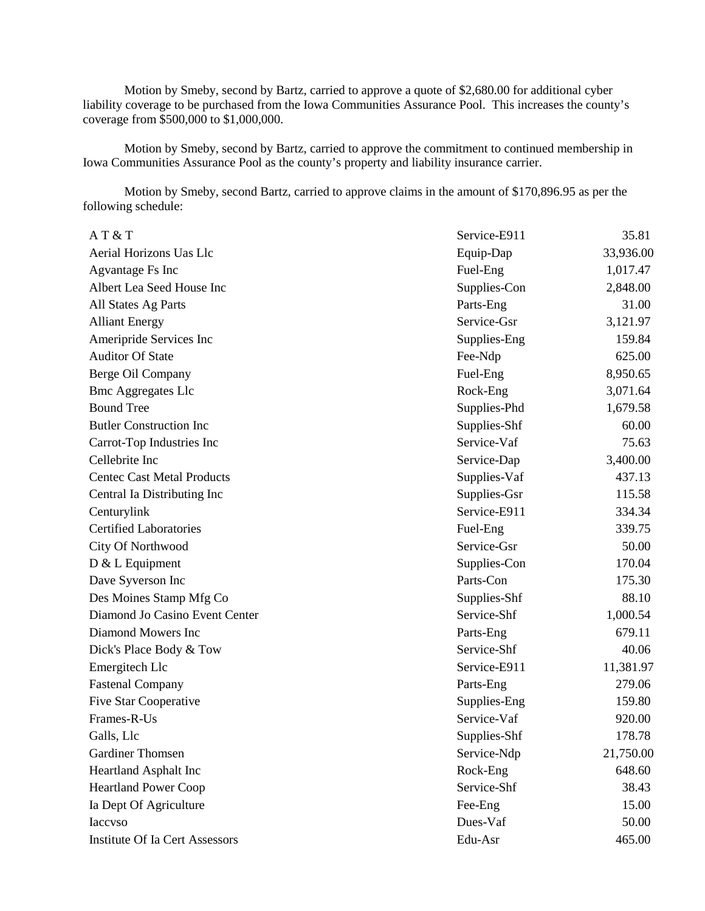Motion by Smeby, second by Bartz, carried to approve a quote of \$2,680.00 for additional cyber liability coverage to be purchased from the Iowa Communities Assurance Pool. This increases the county's coverage from \$500,000 to \$1,000,000.

Motion by Smeby, second by Bartz, carried to approve the commitment to continued membership in Iowa Communities Assurance Pool as the county's property and liability insurance carrier.

Motion by Smeby, second Bartz, carried to approve claims in the amount of \$170,896.95 as per the following schedule:

| AT & T                            | Service-E911 | 35.81     |
|-----------------------------------|--------------|-----------|
| Aerial Horizons Uas Llc           | Equip-Dap    | 33,936.00 |
| Agvantage Fs Inc                  | Fuel-Eng     | 1,017.47  |
| Albert Lea Seed House Inc         | Supplies-Con | 2,848.00  |
| All States Ag Parts               | Parts-Eng    | 31.00     |
| <b>Alliant Energy</b>             | Service-Gsr  | 3,121.97  |
| Ameripride Services Inc           | Supplies-Eng | 159.84    |
| <b>Auditor Of State</b>           | Fee-Ndp      | 625.00    |
| Berge Oil Company                 | Fuel-Eng     | 8,950.65  |
| <b>Bmc Aggregates Llc</b>         | Rock-Eng     | 3,071.64  |
| <b>Bound Tree</b>                 | Supplies-Phd | 1,679.58  |
| <b>Butler Construction Inc</b>    | Supplies-Shf | 60.00     |
| Carrot-Top Industries Inc         | Service-Vaf  | 75.63     |
| Cellebrite Inc                    | Service-Dap  | 3,400.00  |
| <b>Centec Cast Metal Products</b> | Supplies-Vaf | 437.13    |
| Central Ia Distributing Inc       | Supplies-Gsr | 115.58    |
| Centurylink                       | Service-E911 | 334.34    |
| <b>Certified Laboratories</b>     | Fuel-Eng     | 339.75    |
| City Of Northwood                 | Service-Gsr  | 50.00     |
| $D & L$ Equipment                 | Supplies-Con | 170.04    |
| Dave Syverson Inc                 | Parts-Con    | 175.30    |
| Des Moines Stamp Mfg Co           | Supplies-Shf | 88.10     |
| Diamond Jo Casino Event Center    | Service-Shf  | 1,000.54  |
| Diamond Mowers Inc                | Parts-Eng    | 679.11    |
| Dick's Place Body & Tow           | Service-Shf  | 40.06     |
| Emergitech Llc                    | Service-E911 | 11,381.97 |
| <b>Fastenal Company</b>           | Parts-Eng    | 279.06    |
| <b>Five Star Cooperative</b>      | Supplies-Eng | 159.80    |
| Frames-R-Us                       | Service-Vaf  | 920.00    |
| Galls, Llc                        | Supplies-Shf | 178.78    |
| <b>Gardiner Thomsen</b>           | Service-Ndp  | 21,750.00 |
| <b>Heartland Asphalt Inc</b>      | Rock-Eng     | 648.60    |
| <b>Heartland Power Coop</b>       | Service-Shf  | 38.43     |
| Ia Dept Of Agriculture            | Fee-Eng      | 15.00     |
| Iaccvso                           | Dues-Vaf     | 50.00     |
| Institute Of Ia Cert Assessors    | Edu-Asr      | 465.00    |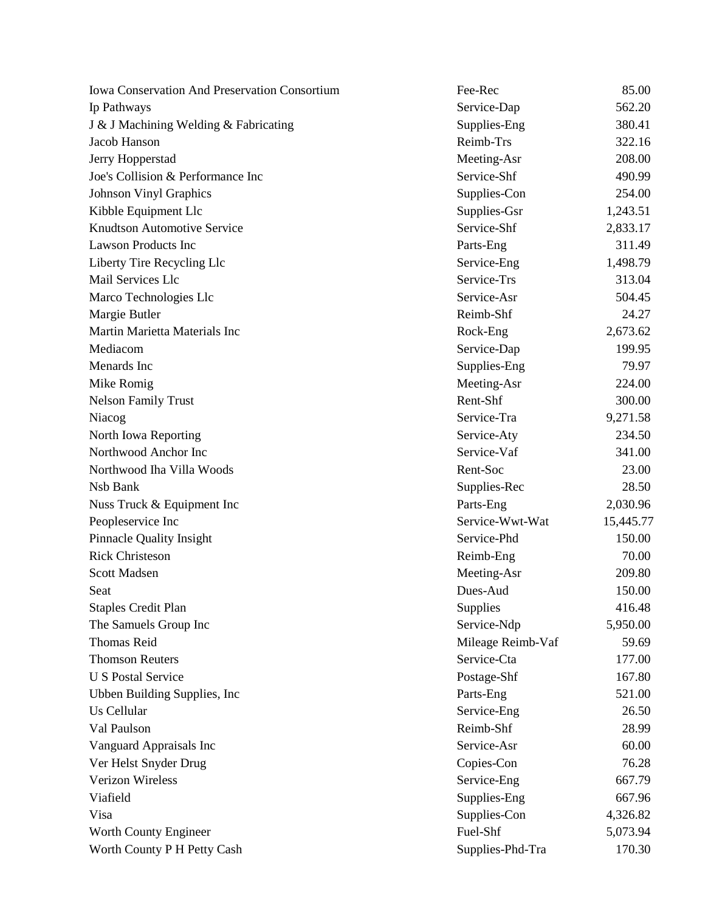| <b>Iowa Conservation And Preservation Consortium</b> | Fee-Rec           | 85.00     |
|------------------------------------------------------|-------------------|-----------|
| Ip Pathways                                          | Service-Dap       | 562.20    |
| J & J Machining Welding & Fabricating                | Supplies-Eng      | 380.41    |
| Jacob Hanson                                         | Reimb-Trs         | 322.16    |
| Jerry Hopperstad                                     | Meeting-Asr       | 208.00    |
| Joe's Collision & Performance Inc                    | Service-Shf       | 490.99    |
| <b>Johnson Vinyl Graphics</b>                        | Supplies-Con      | 254.00    |
| Kibble Equipment Llc                                 | Supplies-Gsr      | 1,243.51  |
| <b>Knudtson Automotive Service</b>                   | Service-Shf       | 2,833.17  |
| <b>Lawson Products Inc</b>                           | Parts-Eng         | 311.49    |
| Liberty Tire Recycling Llc                           | Service-Eng       | 1,498.79  |
| Mail Services Llc                                    | Service-Trs       | 313.04    |
| Marco Technologies Llc                               | Service-Asr       | 504.45    |
| Margie Butler                                        | Reimb-Shf         | 24.27     |
| Martin Marietta Materials Inc                        | Rock-Eng          | 2,673.62  |
| Mediacom                                             | Service-Dap       | 199.95    |
| Menards Inc                                          | Supplies-Eng      | 79.97     |
| Mike Romig                                           | Meeting-Asr       | 224.00    |
| <b>Nelson Family Trust</b>                           | Rent-Shf          | 300.00    |
| Niacog                                               | Service-Tra       | 9,271.58  |
| North Iowa Reporting                                 | Service-Aty       | 234.50    |
| Northwood Anchor Inc                                 | Service-Vaf       | 341.00    |
| Northwood Iha Villa Woods                            | Rent-Soc          | 23.00     |
| Nsb Bank                                             | Supplies-Rec      | 28.50     |
| Nuss Truck & Equipment Inc                           | Parts-Eng         | 2,030.96  |
| Peopleservice Inc                                    | Service-Wwt-Wat   | 15,445.77 |
| <b>Pinnacle Quality Insight</b>                      | Service-Phd       | 150.00    |
| <b>Rick Christeson</b>                               | Reimb-Eng         | 70.00     |
| Scott Madsen                                         | Meeting-Asr       | 209.80    |
| Seat                                                 | Dues-Aud          | 150.00    |
| <b>Staples Credit Plan</b>                           | Supplies          | 416.48    |
| The Samuels Group Inc                                | Service-Ndp       | 5,950.00  |
| <b>Thomas Reid</b>                                   | Mileage Reimb-Vaf | 59.69     |
| <b>Thomson Reuters</b>                               | Service-Cta       | 177.00    |
| <b>U S Postal Service</b>                            | Postage-Shf       | 167.80    |
| Ubben Building Supplies, Inc.                        | Parts-Eng         | 521.00    |
| Us Cellular                                          | Service-Eng       | 26.50     |
| Val Paulson                                          | Reimb-Shf         | 28.99     |
| Vanguard Appraisals Inc                              | Service-Asr       | 60.00     |
| Ver Helst Snyder Drug                                | Copies-Con        | 76.28     |
| Verizon Wireless                                     | Service-Eng       | 667.79    |
| Viafield                                             | Supplies-Eng      | 667.96    |
| Visa                                                 | Supplies-Con      | 4,326.82  |
| Worth County Engineer                                | Fuel-Shf          | 5,073.94  |
| Worth County P H Petty Cash                          | Supplies-Phd-Tra  | 170.30    |